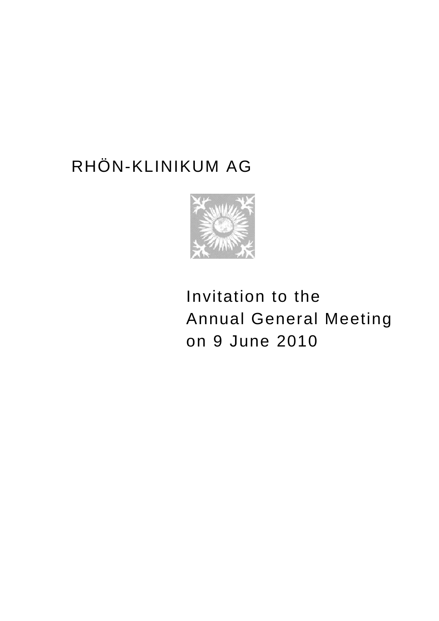# RHÖN-KLINIKUM AG



 Invitation to the Annual General Meeting on 9 June 2010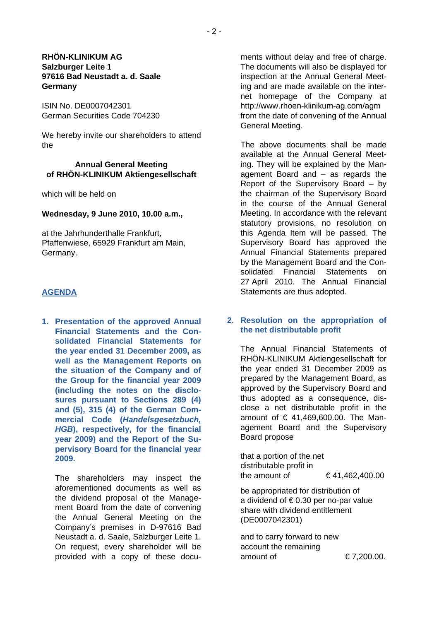## **RHÖN-KLINIKUM AG Salzburger Leite 1 97616 Bad Neustadt a. d. Saale Germany**

ISIN No. DE0007042301 German Securities Code 704230

We hereby invite our shareholders to attend the

## **Annual General Meeting of RHÖN-KLINIKUM Aktiengesellschaft**

which will be held on

#### **Wednesday, 9 June 2010, 10.00 a.m.,**

at the Jahrhunderthalle Frankfurt, Pfaffenwiese, 65929 Frankfurt am Main, Germany.

#### **AGENDA**

**1. Presentation of the approved Annual Financial Statements and the Consolidated Financial Statements for the year ended 31 December 2009, as well as the Management Reports on the situation of the Company and of the Group for the financial year 2009 (including the notes on the disclosures pursuant to Sections 289 (4) and (5), 315 (4) of the German Commercial Code (***Handelsgesetzbuch, HGB***), respectively, for the financial year 2009) and the Report of the Supervisory Board for the financial year 2009.** 

The shareholders may inspect the aforementioned documents as well as the dividend proposal of the Management Board from the date of convening the Annual General Meeting on the Company's premises in D-97616 Bad Neustadt a. d. Saale, Salzburger Leite 1. On request, every shareholder will be provided with a copy of these documents without delay and free of charge. The documents will also be displayed for inspection at the Annual General Meeting and are made available on the internet homepage of the Company at http://www.rhoen-klinikum-ag.com/agm from the date of convening of the Annual General Meeting.

The above documents shall be made available at the Annual General Meeting. They will be explained by the Management Board and – as regards the Report of the Supervisory Board – by the chairman of the Supervisory Board in the course of the Annual General Meeting. In accordance with the relevant statutory provisions, no resolution on this Agenda Item will be passed. The Supervisory Board has approved the Annual Financial Statements prepared by the Management Board and the Consolidated Financial Statements on 27 April 2010. The Annual Financial Statements are thus adopted.

#### **2. Resolution on the appropriation of the net distributable profit**

The Annual Financial Statements of RHÖN-KLINIKUM Aktiengesellschaft for the year ended 31 December 2009 as prepared by the Management Board, as approved by the Supervisory Board and thus adopted as a consequence, disclose a net distributable profit in the amount of € 41,469,600.00. The Management Board and the Supervisory Board propose

that a portion of the net distributable profit in the amount of  $641,462,400.00$ 

be appropriated for distribution of a dividend of  $\epsilon$  0.30 per no-par value share with dividend entitlement (DE0007042301)

and to carry forward to new account the remaining amount of  $\epsilon$  7,200.00.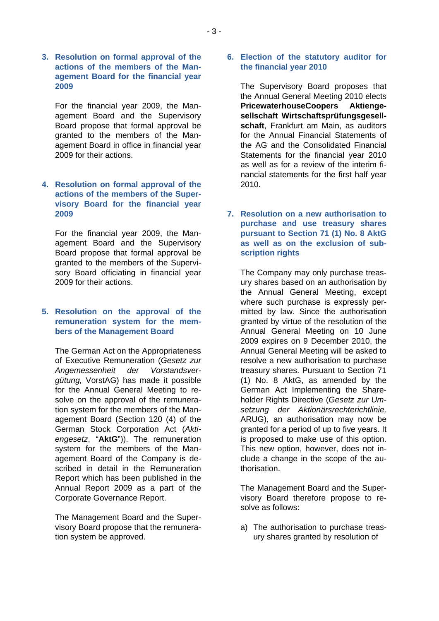**3. Resolution on formal approval of the actions of the members of the Management Board for the financial year 2009** 

For the financial year 2009, the Management Board and the Supervisory Board propose that formal approval be granted to the members of the Management Board in office in financial year 2009 for their actions.

## **4. Resolution on formal approval of the actions of the members of the Supervisory Board for the financial year 2009**

For the financial year 2009, the Management Board and the Supervisory Board propose that formal approval be granted to the members of the Supervisory Board officiating in financial year 2009 for their actions.

#### **5. Resolution on the approval of the remuneration system for the members of the Management Board**

The German Act on the Appropriateness of Executive Remuneration (*Gesetz zur Angemessenheit der Vorstandsvergütung,* VorstAG) has made it possible for the Annual General Meeting to resolve on the approval of the remuneration system for the members of the Management Board (Section 120 (4) of the German Stock Corporation Act (*Aktiengesetz*, "**AktG**")). The remuneration system for the members of the Management Board of the Company is described in detail in the Remuneration Report which has been published in the Annual Report 2009 as a part of the Corporate Governance Report.

The Management Board and the Supervisory Board propose that the remuneration system be approved.

#### **6. Election of the statutory auditor for the financial year 2010**

The Supervisory Board proposes that the Annual General Meeting 2010 elects **PricewaterhouseCoopers Aktiengesellschaft Wirtschaftsprüfungsgesellschaft**, Frankfurt am Main, as auditors for the Annual Financial Statements of the AG and the Consolidated Financial Statements for the financial year 2010 as well as for a review of the interim financial statements for the first half year 2010.

## **7. Resolution on a new authorisation to purchase and use treasury shares pursuant to Section 71 (1) No. 8 AktG as well as on the exclusion of subscription rights**

The Company may only purchase treasury shares based on an authorisation by the Annual General Meeting, except where such purchase is expressly permitted by law. Since the authorisation granted by virtue of the resolution of the Annual General Meeting on 10 June 2009 expires on 9 December 2010, the Annual General Meeting will be asked to resolve a new authorisation to purchase treasury shares. Pursuant to Section 71 (1) No. 8 AktG, as amended by the German Act Implementing the Shareholder Rights Directive (*Gesetz zur Umsetzung der Aktionärsrechterichtlinie,*  ARUG), an authorisation may now be granted for a period of up to five years. It is proposed to make use of this option. This new option, however, does not include a change in the scope of the authorisation.

The Management Board and the Supervisory Board therefore propose to resolve as follows:

a) The authorisation to purchase treasury shares granted by resolution of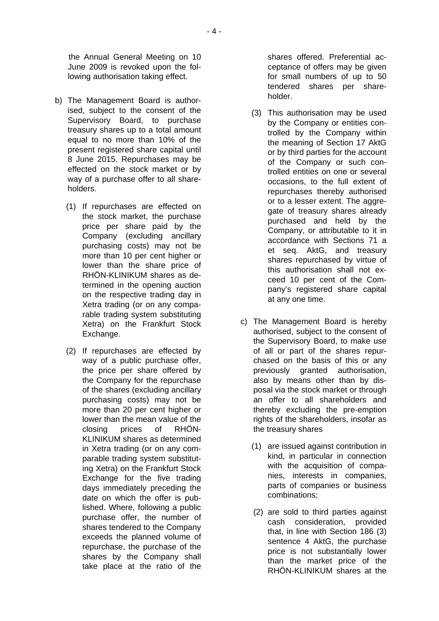the Annual General Meeting on 10 June 2009 is revoked upon the following authorisation taking effect.

- b) The Management Board is authorised, subject to the consent of the Supervisory Board, to purchase treasury shares up to a total amount equal to no more than 10% of the present registered share capital until 8 June 2015. Repurchases may be effected on the stock market or by way of a purchase offer to all shareholders.
	- (1) If repurchases are effected on the stock market, the purchase price per share paid by the Company (excluding ancillary purchasing costs) may not be more than 10 per cent higher or lower than the share price of RHÖN-KLINIKUM shares as determined in the opening auction on the respective trading day in Xetra trading (or on any comparable trading system substituting Xetra) on the Frankfurt Stock Exchange.
	- (2) If repurchases are effected by way of a public purchase offer. the price per share offered by the Company for the repurchase of the shares (excluding ancillary purchasing costs) may not be more than 20 per cent higher or lower than the mean value of the closing prices of RHÖN-KLINIKUM shares as determined in Xetra trading (or on any comparable trading system substituting Xetra) on the Frankfurt Stock Exchange for the five trading days immediately preceding the date on which the offer is published. Where, following a public purchase offer, the number of shares tendered to the Company exceeds the planned volume of repurchase, the purchase of the shares by the Company shall take place at the ratio of the

shares offered. Preferential acceptance of offers may be given for small numbers of up to 50 tendered shares per shareholder.

- (3) This authorisation may be used by the Company or entities controlled by the Company within the meaning of Section 17 AktG or by third parties for the account of the Company or such controlled entities on one or several occasions, to the full extent of repurchases thereby authorised or to a lesser extent. The aggregate of treasury shares already purchased and held by the Company, or attributable to it in accordance with Sections 71 a et seq. AktG, and treasury shares repurchased by virtue of this authorisation shall not exceed 10 per cent of the Company's registered share capital at any one time.
- c) The Management Board is hereby authorised, subject to the consent of the Supervisory Board, to make use of all or part of the shares repurchased on the basis of this or any previously granted authorisation, also by means other than by disposal via the stock market or through an offer to all shareholders and thereby excluding the pre-emption rights of the shareholders, insofar as the treasury shares
	- (1) are issued against contribution in kind, in particular in connection with the acquisition of companies, interests in companies, parts of companies or business combinations;
	- (2) are sold to third parties against cash consideration, provided that, in line with Section 186 (3) sentence 4 AktG, the purchase price is not substantially lower than the market price of the RHÖN-KLINIKUM shares at the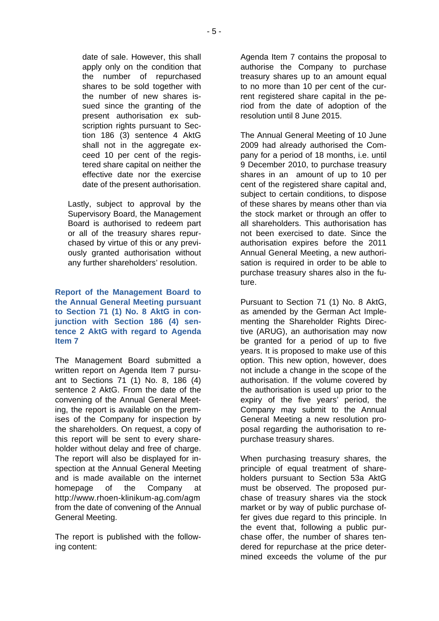date of sale. However, this shall apply only on the condition that the number of repurchased shares to be sold together with the number of new shares issued since the granting of the present authorisation ex subscription rights pursuant to Section 186 (3) sentence 4 AktG shall not in the aggregate exceed 10 per cent of the registered share capital on neither the effective date nor the exercise date of the present authorisation.

Lastly, subject to approval by the Supervisory Board, the Management Board is authorised to redeem part or all of the treasury shares repurchased by virtue of this or any previously granted authorisation without any further shareholders' resolution.

## **Report of the Management Board to the Annual General Meeting pursuant to Section 71 (1) No. 8 AktG in conjunction with Section 186 (4) sentence 2 AktG with regard to Agenda Item 7**

The Management Board submitted a written report on Agenda Item 7 pursuant to Sections 71 (1) No. 8, 186 (4) sentence 2 AktG. From the date of the convening of the Annual General Meeting, the report is available on the premises of the Company for inspection by the shareholders. On request, a copy of this report will be sent to every shareholder without delay and free of charge. The report will also be displayed for inspection at the Annual General Meeting and is made available on the internet homepage of the Company at http://www.rhoen-klinikum-ag.com/agm from the date of convening of the Annual General Meeting.

The report is published with the following content:

Agenda Item 7 contains the proposal to authorise the Company to purchase treasury shares up to an amount equal to no more than 10 per cent of the current registered share capital in the period from the date of adoption of the resolution until 8 June 2015.

The Annual General Meeting of 10 June 2009 had already authorised the Company for a period of 18 months, i.e. until 9 December 2010, to purchase treasury shares in an amount of up to 10 per cent of the registered share capital and, subject to certain conditions, to dispose of these shares by means other than via the stock market or through an offer to all shareholders. This authorisation has not been exercised to date. Since the authorisation expires before the 2011 Annual General Meeting, a new authorisation is required in order to be able to purchase treasury shares also in the future.

Pursuant to Section 71 (1) No. 8 AktG, as amended by the German Act Implementing the Shareholder Rights Directive (ARUG), an authorisation may now be granted for a period of up to five years. It is proposed to make use of this option. This new option, however, does not include a change in the scope of the authorisation. If the volume covered by the authorisation is used up prior to the expiry of the five years' period, the Company may submit to the Annual General Meeting a new resolution proposal regarding the authorisation to repurchase treasury shares.

When purchasing treasury shares, the principle of equal treatment of shareholders pursuant to Section 53a AktG must be observed. The proposed purchase of treasury shares via the stock market or by way of public purchase offer gives due regard to this principle. In the event that, following a public purchase offer, the number of shares tendered for repurchase at the price determined exceeds the volume of the pur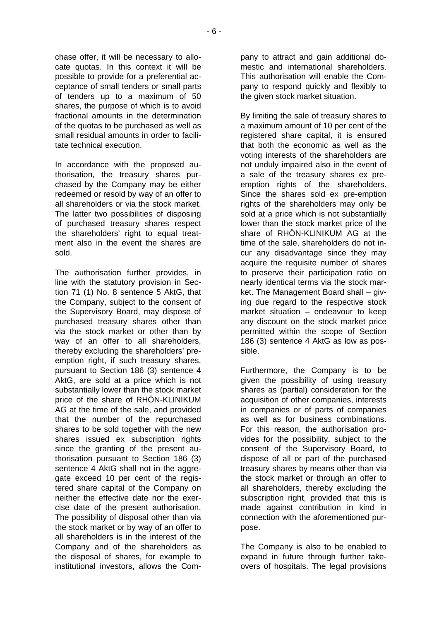chase offer, it will be necessary to allocate quotas. In this context it will be possible to provide for a preferential acceptance of small tenders or small parts of tenders up to a maximum of 50 shares, the purpose of which is to avoid fractional amounts in the determination of the quotas to be purchased as well as small residual amounts in order to facilitate technical execution.

In accordance with the proposed authorisation, the treasury shares purchased by the Company may be either redeemed or resold by way of an offer to all shareholders or via the stock market. The latter two possibilities of disposing of purchased treasury shares respect the shareholders' right to equal treatment also in the event the shares are sold.

The authorisation further provides, in line with the statutory provision in Section 71 (1) No. 8 sentence 5 AktG, that the Company, subject to the consent of the Supervisory Board, may dispose of purchased treasury shares other than via the stock market or other than by way of an offer to all shareholders, thereby excluding the shareholders' preemption right, if such treasury shares, pursuant to Section 186 (3) sentence 4 AktG, are sold at a price which is not substantially lower than the stock market price of the share of RHÖN-KLINIKUM AG at the time of the sale, and provided that the number of the repurchased shares to be sold together with the new shares issued ex subscription rights since the granting of the present authorisation pursuant to Section 186 (3) sentence 4 AktG shall not in the aggregate exceed 10 per cent of the registered share capital of the Company on neither the effective date nor the exercise date of the present authorisation. The possibility of disposal other than via the stock market or by way of an offer to all shareholders is in the interest of the Company and of the shareholders as the disposal of shares, for example to institutional investors, allows the Company to attract and gain additional domestic and international shareholders. This authorisation will enable the Company to respond quickly and flexibly to the given stock market situation.

By limiting the sale of treasury shares to a maximum amount of 10 per cent of the registered share capital, it is ensured that both the economic as well as the voting interests of the shareholders are not unduly impaired also in the event of a sale of the treasury shares ex preemption rights of the shareholders. Since the shares sold ex pre-emption rights of the shareholders may only be sold at a price which is not substantially lower than the stock market price of the share of RHÖN-KLINIKUM AG at the time of the sale, shareholders do not incur any disadvantage since they may acquire the requisite number of shares to preserve their participation ratio on nearly identical terms via the stock market. The Management Board shall – giving due regard to the respective stock market situation – endeavour to keep any discount on the stock market price permitted within the scope of Section 186 (3) sentence 4 AktG as low as possible.

Furthermore, the Company is to be given the possibility of using treasury shares as (partial) consideration for the acquisition of other companies, interests in companies or of parts of companies as well as for business combinations. For this reason, the authorisation provides for the possibility, subject to the consent of the Supervisory Board, to dispose of all or part of the purchased treasury shares by means other than via the stock market or through an offer to all shareholders, thereby excluding the subscription right, provided that this is made against contribution in kind in connection with the aforementioned purpose.

The Company is also to be enabled to expand in future through further takeovers of hospitals. The legal provisions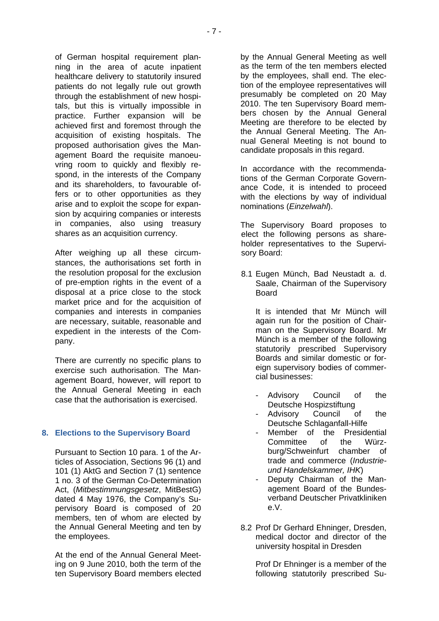of German hospital requirement planning in the area of acute inpatient healthcare delivery to statutorily insured patients do not legally rule out growth through the establishment of new hospitals, but this is virtually impossible in practice. Further expansion will be achieved first and foremost through the acquisition of existing hospitals. The proposed authorisation gives the Management Board the requisite manoeuvring room to quickly and flexibly respond, in the interests of the Company and its shareholders, to favourable offers or to other opportunities as they arise and to exploit the scope for expansion by acquiring companies or interests in companies, also using treasury shares as an acquisition currency.

After weighing up all these circumstances, the authorisations set forth in the resolution proposal for the exclusion of pre-emption rights in the event of a disposal at a price close to the stock market price and for the acquisition of companies and interests in companies are necessary, suitable, reasonable and expedient in the interests of the Company.

There are currently no specific plans to exercise such authorisation. The Management Board, however, will report to the Annual General Meeting in each case that the authorisation is exercised.

## **8. Elections to the Supervisory Board**

Pursuant to Section 10 para. 1 of the Articles of Association, Sections 96 (1) and 101 (1) AktG and Section 7 (1) sentence 1 no. 3 of the German Co-Determination Act, (*Mitbestimmungsgesetz*, MitBestG) dated 4 May 1976, the Company's Supervisory Board is composed of 20 members, ten of whom are elected by the Annual General Meeting and ten by the employees.

At the end of the Annual General Meeting on 9 June 2010, both the term of the ten Supervisory Board members elected

by the Annual General Meeting as well as the term of the ten members elected by the employees, shall end. The election of the employee representatives will presumably be completed on 20 May 2010. The ten Supervisory Board members chosen by the Annual General Meeting are therefore to be elected by the Annual General Meeting. The Annual General Meeting is not bound to candidate proposals in this regard.

In accordance with the recommendations of the German Corporate Governance Code, it is intended to proceed with the elections by way of individual nominations (*Einzelwahl*).

The Supervisory Board proposes to elect the following persons as shareholder representatives to the Supervisory Board:

8.1 Eugen Münch, Bad Neustadt a. d. Saale, Chairman of the Supervisory Board

It is intended that Mr Münch will again run for the position of Chairman on the Supervisory Board. Mr Münch is a member of the following statutorily prescribed Supervisory Boards and similar domestic or foreign supervisory bodies of commercial businesses:

- Advisory Council of the Deutsche Hospizstiftung
- Advisory Council of the Deutsche Schlaganfall-Hilfe
- Member of the Presidential Committee of the Würzburg/Schweinfurt chamber of trade and commerce (*Industrieund Handelskammer, IHK*)
- Deputy Chairman of the Management Board of the Bundesverband Deutscher Privatkliniken e.V.
- 8.2 Prof Dr Gerhard Ehninger, Dresden, medical doctor and director of the university hospital in Dresden

Prof Dr Ehninger is a member of the following statutorily prescribed Su-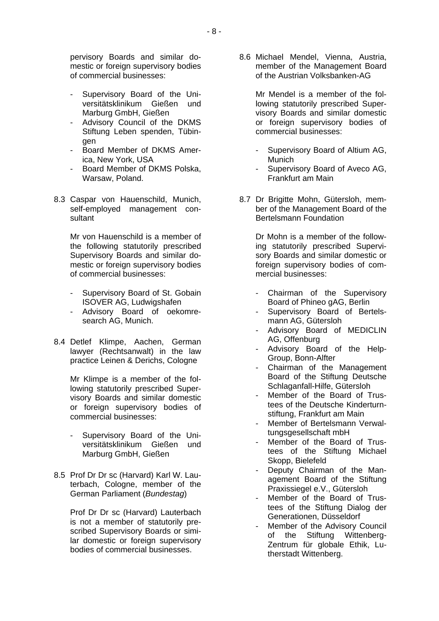pervisory Boards and similar domestic or foreign supervisory bodies of commercial businesses:

- Supervisory Board of the Universitätsklinikum Gießen und Marburg GmbH, Gießen
- Advisory Council of the DKMS Stiftung Leben spenden, Tübingen
- Board Member of DKMS America, New York, USA
- Board Member of DKMS Polska, Warsaw, Poland.
- 8.3 Caspar von Hauenschild, Munich, self-employed management consultant

Mr von Hauenschild is a member of the following statutorily prescribed Supervisory Boards and similar domestic or foreign supervisory bodies of commercial businesses:

- Supervisory Board of St. Gobain ISOVER AG, Ludwigshafen
- Advisory Board of oekomresearch AG, Munich.
- 8.4 Detlef Klimpe, Aachen, German lawyer (Rechtsanwalt) in the law practice Leinen & Derichs, Cologne

Mr Klimpe is a member of the following statutorily prescribed Supervisory Boards and similar domestic or foreign supervisory bodies of commercial businesses:

- Supervisory Board of the Universitätsklinikum Gießen und Marburg GmbH, Gießen
- 8.5 Prof Dr Dr sc (Harvard) Karl W. Lauterbach, Cologne, member of the German Parliament (*Bundestag*)

Prof Dr Dr sc (Harvard) Lauterbach is not a member of statutorily prescribed Supervisory Boards or similar domestic or foreign supervisory bodies of commercial businesses.

8.6 Michael Mendel, Vienna, Austria, member of the Management Board of the Austrian Volksbanken-AG

> Mr Mendel is a member of the following statutorily prescribed Supervisory Boards and similar domestic or foreign supervisory bodies of commercial businesses:

- Supervisory Board of Altium AG, Munich
- Supervisory Board of Aveco AG, Frankfurt am Main
- 8.7 Dr Brigitte Mohn, Gütersloh, member of the Management Board of the Bertelsmann Foundation

Dr Mohn is a member of the following statutorily prescribed Supervisory Boards and similar domestic or foreign supervisory bodies of commercial businesses:

- Chairman of the Supervisory Board of Phineo gAG, Berlin
- Supervisory Board of Bertelsmann AG, Gütersloh
- Advisory Board of MEDICLIN AG, Offenburg
- Advisory Board of the Help-Group, Bonn-Alfter
- Chairman of the Management Board of the Stiftung Deutsche Schlaganfall-Hilfe, Gütersloh
- Member of the Board of Trustees of the Deutsche Kinderturnstiftung, Frankfurt am Main
- Member of Bertelsmann Verwaltungsgesellschaft mbH
- Member of the Board of Trustees of the Stiftung Michael Skopp, Bielefeld
- Deputy Chairman of the Management Board of the Stiftung Praxissiegel e.V., Gütersloh
- Member of the Board of Trustees of the Stiftung Dialog der Generationen, Düsseldorf
- Member of the Advisory Council of the Stiftung Wittenberg-Zentrum für globale Ethik, Lutherstadt Wittenberg.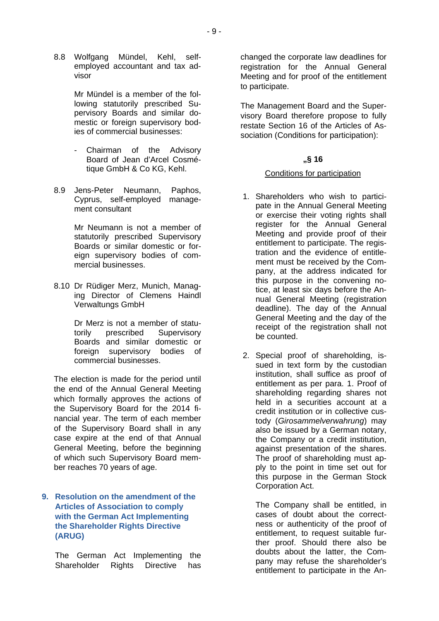8.8 Wolfgang Mündel, Kehl, selfemployed accountant and tax advisor

> Mr Mündel is a member of the following statutorily prescribed Supervisory Boards and similar domestic or foreign supervisory bodies of commercial businesses:

- Chairman of the Advisory Board of Jean d'Arcel Cosmétique GmbH & Co KG, Kehl.
- 8.9 Jens-Peter Neumann, Paphos, Cyprus, self-employed management consultant

Mr Neumann is not a member of statutorily prescribed Supervisory Boards or similar domestic or foreign supervisory bodies of commercial businesses.

8.10 Dr Rüdiger Merz, Munich, Managing Director of Clemens Haindl Verwaltungs GmbH

> Dr Merz is not a member of statutorily prescribed Supervisory Boards and similar domestic or foreign supervisory bodies of commercial businesses.

The election is made for the period until the end of the Annual General Meeting which formally approves the actions of the Supervisory Board for the 2014 financial year. The term of each member of the Supervisory Board shall in any case expire at the end of that Annual General Meeting, before the beginning of which such Supervisory Board member reaches 70 years of age.

## **9. Resolution on the amendment of the Articles of Association to comply with the German Act Implementing the Shareholder Rights Directive (ARUG)**

The German Act Implementing the Shareholder Rights Directive has

changed the corporate law deadlines for registration for the Annual General Meeting and for proof of the entitlement to participate.

The Management Board and the Supervisory Board therefore propose to fully restate Section 16 of the Articles of Association (Conditions for participation):

#### **"§ 16**

#### Conditions for participation

- 1. Shareholders who wish to participate in the Annual General Meeting or exercise their voting rights shall register for the Annual General Meeting and provide proof of their entitlement to participate. The registration and the evidence of entitlement must be received by the Company, at the address indicated for this purpose in the convening notice, at least six days before the Annual General Meeting (registration deadline). The day of the Annual General Meeting and the day of the receipt of the registration shall not be counted.
- 2. Special proof of shareholding, issued in text form by the custodian institution, shall suffice as proof of entitlement as per para. 1. Proof of shareholding regarding shares not held in a securities account at a credit institution or in collective custody (*Girosammelverwahrung*) may also be issued by a German notary, the Company or a credit institution, against presentation of the shares. The proof of shareholding must apply to the point in time set out for this purpose in the German Stock Corporation Act.

The Company shall be entitled, in cases of doubt about the correctness or authenticity of the proof of entitlement, to request suitable further proof. Should there also be doubts about the latter, the Company may refuse the shareholder's entitlement to participate in the An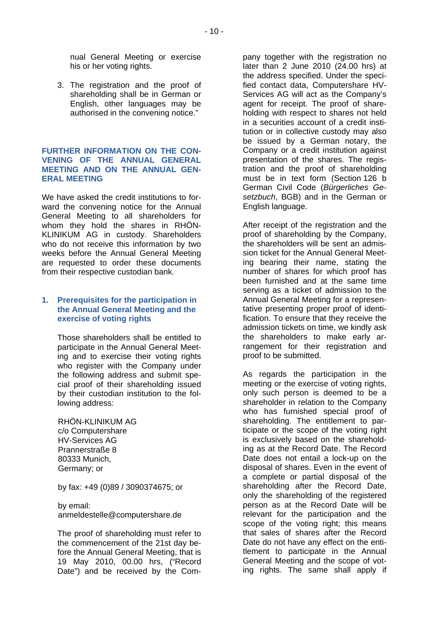nual General Meeting or exercise his or her voting rights.

3. The registration and the proof of shareholding shall be in German or English, other languages may be authorised in the convening notice."

#### **FURTHER INFORMATION ON THE CON-VENING OF THE ANNUAL GENERAL MEETING AND ON THE ANNUAL GEN-ERAL MEETING**

We have asked the credit institutions to forward the convening notice for the Annual General Meeting to all shareholders for whom they hold the shares in RHÖN-KLINIKUM AG in custody. Shareholders who do not receive this information by two weeks before the Annual General Meeting are requested to order these documents from their respective custodian bank.

#### **1. Prerequisites for the participation in the Annual General Meeting and the exercise of voting rights**

Those shareholders shall be entitled to participate in the Annual General Meeting and to exercise their voting rights who register with the Company under the following address and submit special proof of their shareholding issued by their custodian institution to the following address:

RHÖN-KLINIKUM AG c/o Computershare HV-Services AG Prannerstraße 8 80333 Munich, Germany; or

by fax: +49 (0)89 / 3090374675; or

by email: anmeldestelle@computershare.de

The proof of shareholding must refer to the commencement of the 21st day before the Annual General Meeting, that is 19 May 2010, 00.00 hrs, ("Record Date") and be received by the Company together with the registration no later than 2 June 2010 (24.00 hrs) at the address specified. Under the specified contact data, Computershare HV-Services AG will act as the Company's agent for receipt. The proof of shareholding with respect to shares not held in a securities account of a credit institution or in collective custody may also be issued by a German notary, the Company or a credit institution against presentation of the shares. The registration and the proof of shareholding must be in text form (Section 126 b German Civil Code (*Bürgerliches Gesetzbuch*, BGB) and in the German or English language.

After receipt of the registration and the proof of shareholding by the Company, the shareholders will be sent an admission ticket for the Annual General Meeting bearing their name, stating the number of shares for which proof has been furnished and at the same time serving as a ticket of admission to the Annual General Meeting for a representative presenting proper proof of identification. To ensure that they receive the admission tickets on time, we kindly ask the shareholders to make early arrangement for their registration and proof to be submitted.

As regards the participation in the meeting or the exercise of voting rights, only such person is deemed to be a shareholder in relation to the Company who has furnished special proof of shareholding. The entitlement to participate or the scope of the voting right is exclusively based on the shareholding as at the Record Date. The Record Date does not entail a lock-up on the disposal of shares. Even in the event of a complete or partial disposal of the shareholding after the Record Date, only the shareholding of the registered person as at the Record Date will be relevant for the participation and the scope of the voting right; this means that sales of shares after the Record Date do not have any effect on the entitlement to participate in the Annual General Meeting and the scope of voting rights. The same shall apply if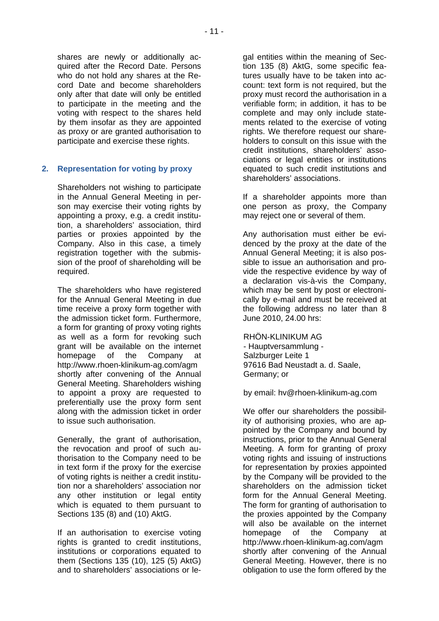shares are newly or additionally acquired after the Record Date. Persons who do not hold any shares at the Record Date and become shareholders only after that date will only be entitled to participate in the meeting and the voting with respect to the shares held by them insofar as they are appointed as proxy or are granted authorisation to participate and exercise these rights.

## **2. Representation for voting by proxy**

Shareholders not wishing to participate in the Annual General Meeting in person may exercise their voting rights by appointing a proxy, e.g. a credit institution, a shareholders' association, third parties or proxies appointed by the Company. Also in this case, a timely registration together with the submission of the proof of shareholding will be required.

The shareholders who have registered for the Annual General Meeting in due time receive a proxy form together with the admission ticket form. Furthermore, a form for granting of proxy voting rights as well as a form for revoking such grant will be available on the internet homepage of the Company at http://www.rhoen-klinikum-ag.com/agm shortly after convening of the Annual General Meeting. Shareholders wishing to appoint a proxy are requested to preferentially use the proxy form sent along with the admission ticket in order to issue such authorisation.

Generally, the grant of authorisation, the revocation and proof of such authorisation to the Company need to be in text form if the proxy for the exercise of voting rights is neither a credit institution nor a shareholders' association nor any other institution or legal entity which is equated to them pursuant to Sections 135 (8) and (10) AktG.

If an authorisation to exercise voting rights is granted to credit institutions, institutions or corporations equated to them (Sections 135 (10), 125 (5) AktG) and to shareholders' associations or legal entities within the meaning of Section 135 (8) AktG, some specific features usually have to be taken into account: text form is not required, but the proxy must record the authorisation in a verifiable form; in addition, it has to be complete and may only include statements related to the exercise of voting rights. We therefore request our shareholders to consult on this issue with the credit institutions, shareholders' associations or legal entities or institutions equated to such credit institutions and shareholders' associations.

If a shareholder appoints more than one person as proxy, the Company may reject one or several of them.

Any authorisation must either be evidenced by the proxy at the date of the Annual General Meeting; it is also possible to issue an authorisation and provide the respective evidence by way of a declaration vis-à-vis the Company, which may be sent by post or electronically by e-mail and must be received at the following address no later than 8 June 2010, 24.00 hrs:

#### RHÖN-KLINIKUM AG

- Hauptversammlung - Salzburger Leite 1 97616 Bad Neustadt a. d. Saale, Germany; or

by email: hv@rhoen-klinikum-ag.com

We offer our shareholders the possibility of authorising proxies, who are appointed by the Company and bound by instructions, prior to the Annual General Meeting. A form for granting of proxy voting rights and issuing of instructions for representation by proxies appointed by the Company will be provided to the shareholders on the admission ticket form for the Annual General Meeting. The form for granting of authorisation to the proxies appointed by the Company will also be available on the internet homepage of the Company at http://www.rhoen-klinikum-ag.com/agm shortly after convening of the Annual General Meeting. However, there is no obligation to use the form offered by the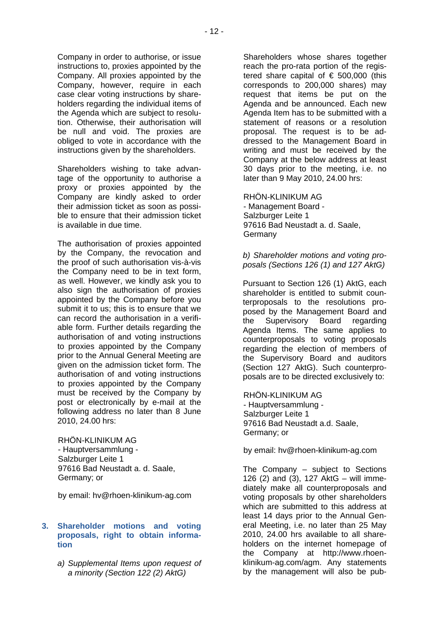Company in order to authorise, or issue instructions to, proxies appointed by the Company. All proxies appointed by the Company, however, require in each case clear voting instructions by shareholders regarding the individual items of the Agenda which are subject to resolution. Otherwise, their authorisation will be null and void. The proxies are obliged to vote in accordance with the instructions given by the shareholders.

Shareholders wishing to take advantage of the opportunity to authorise a proxy or proxies appointed by the Company are kindly asked to order their admission ticket as soon as possible to ensure that their admission ticket is available in due time.

The authorisation of proxies appointed by the Company, the revocation and the proof of such authorisation vis-à-vis the Company need to be in text form, as well. However, we kindly ask you to also sign the authorisation of proxies appointed by the Company before you submit it to us; this is to ensure that we can record the authorisation in a verifiable form. Further details regarding the authorisation of and voting instructions to proxies appointed by the Company prior to the Annual General Meeting are given on the admission ticket form. The authorisation of and voting instructions to proxies appointed by the Company must be received by the Company by post or electronically by e-mail at the following address no later than 8 June 2010, 24.00 hrs:

RHÖN-KLINIKUM AG - Hauptversammlung - Salzburger Leite 1 97616 Bad Neustadt a. d. Saale, Germany; or

by email: hv@rhoen-klinikum-ag.com

#### **3. Shareholder motions and voting proposals, right to obtain information**

*a) Supplemental Items upon request of a minority (Section 122 (2) AktG)* 

Shareholders whose shares together reach the pro-rata portion of the registered share capital of  $\epsilon$  500,000 (this corresponds to 200,000 shares) may request that items be put on the Agenda and be announced. Each new Agenda Item has to be submitted with a statement of reasons or a resolution proposal. The request is to be addressed to the Management Board in writing and must be received by the Company at the below address at least 30 days prior to the meeting, i.e. no later than 9 May 2010, 24.00 hrs:

RHÖN-KLINIKUM AG - Management Board - Salzburger Leite 1 97616 Bad Neustadt a. d. Saale, Germany

*b) Shareholder motions and voting proposals (Sections 126 (1) and 127 AktG)* 

Pursuant to Section 126 (1) AktG, each shareholder is entitled to submit counterproposals to the resolutions proposed by the Management Board and the Supervisory Board regarding Agenda Items. The same applies to counterproposals to voting proposals regarding the election of members of the Supervisory Board and auditors (Section 127 AktG). Such counterproposals are to be directed exclusively to:

RHÖN-KLINIKUM AG - Hauptversammlung - Salzburger Leite 1 97616 Bad Neustadt a.d. Saale, Germany; or

by email: hv@rhoen-klinikum-ag.com

The Company – subject to Sections 126 (2) and (3), 127 AktG – will immediately make all counterproposals and voting proposals by other shareholders which are submitted to this address at least 14 days prior to the Annual General Meeting, i.e. no later than 25 May 2010, 24.00 hrs available to all shareholders on the internet homepage of the Company at http://www.rhoenklinikum-ag.com/agm. Any statements by the management will also be pub